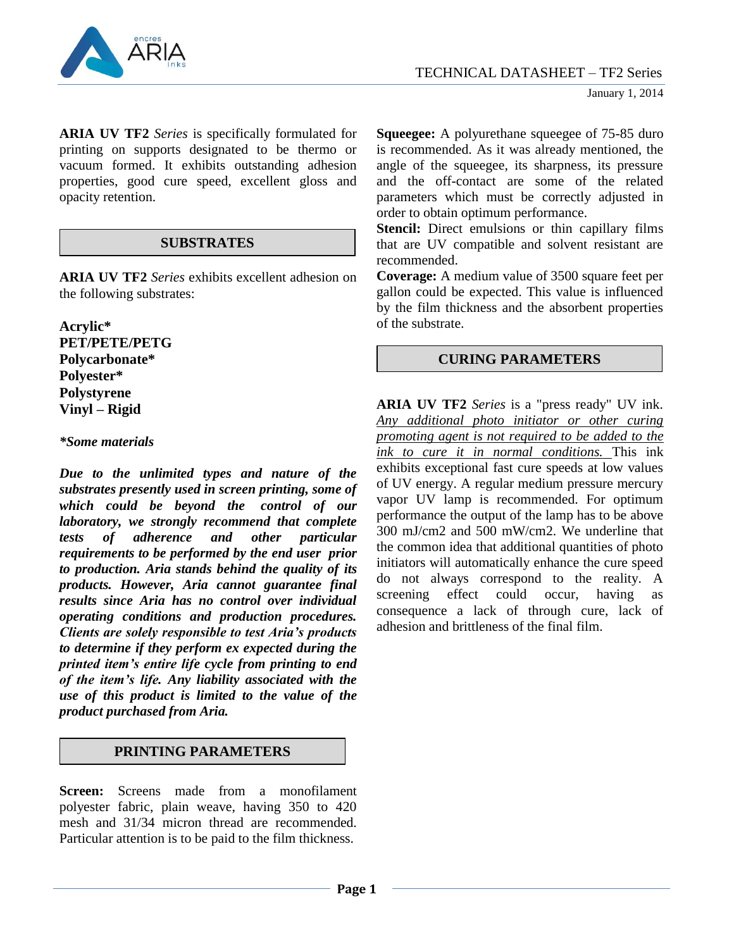

**ARIA UV TF2** *Series* is specifically formulated for printing on supports designated to be thermo or vacuum formed. It exhibits outstanding adhesion properties, good cure speed, excellent gloss and opacity retention.

## **SUBSTRATES**

**ARIA UV TF2** *Series* exhibits excellent adhesion on the following substrates:

**Acrylic\* PET/PETE/PETG Polycarbonate\* Polyester\* Polystyrene Vinyl – Rigid**

#### *\*Some materials*

*Due to the unlimited types and nature of the substrates presently used in screen printing, some of which could be beyond the control of our laboratory, we strongly recommend that complete tests of adherence and other particular requirements to be performed by the end user prior to production. Aria stands behind the quality of its products. However, Aria cannot guarantee final results since Aria has no control over individual operating conditions and production procedures. Clients are solely responsible to test Aria's products to determine if they perform ex expected during the printed item's entire life cycle from printing to end of the item's life. Any liability associated with the use of this product is limited to the value of the product purchased from Aria.*

## **PRINTING PARAMETERS**

**Screen:** Screens made from a monofilament polyester fabric, plain weave, having 350 to 420 mesh and 31/34 micron thread are recommended. Particular attention is to be paid to the film thickness.

**Squeegee:** A polyurethane squeegee of 75-85 duro is recommended. As it was already mentioned, the angle of the squeegee, its sharpness, its pressure and the off-contact are some of the related parameters which must be correctly adjusted in order to obtain optimum performance.

**Stencil:** Direct emulsions or thin capillary films that are UV compatible and solvent resistant are recommended.

**Coverage:** A medium value of 3500 square feet per gallon could be expected. This value is influenced by the film thickness and the absorbent properties of the substrate.

# **CURING PARAMETERS**

**ARIA UV TF2** *Series* is a "press ready" UV ink. *Any additional photo initiator or other curing promoting agent is not required to be added to the ink to cure it in normal conditions.* This ink exhibits exceptional fast cure speeds at low values of UV energy. A regular medium pressure mercury vapor UV lamp is recommended. For optimum performance the output of the lamp has to be above 300 mJ/cm2 and 500 mW/cm2. We underline that the common idea that additional quantities of photo initiators will automatically enhance the cure speed do not always correspond to the reality. A screening effect could occur, having as consequence a lack of through cure, lack of adhesion and brittleness of the final film.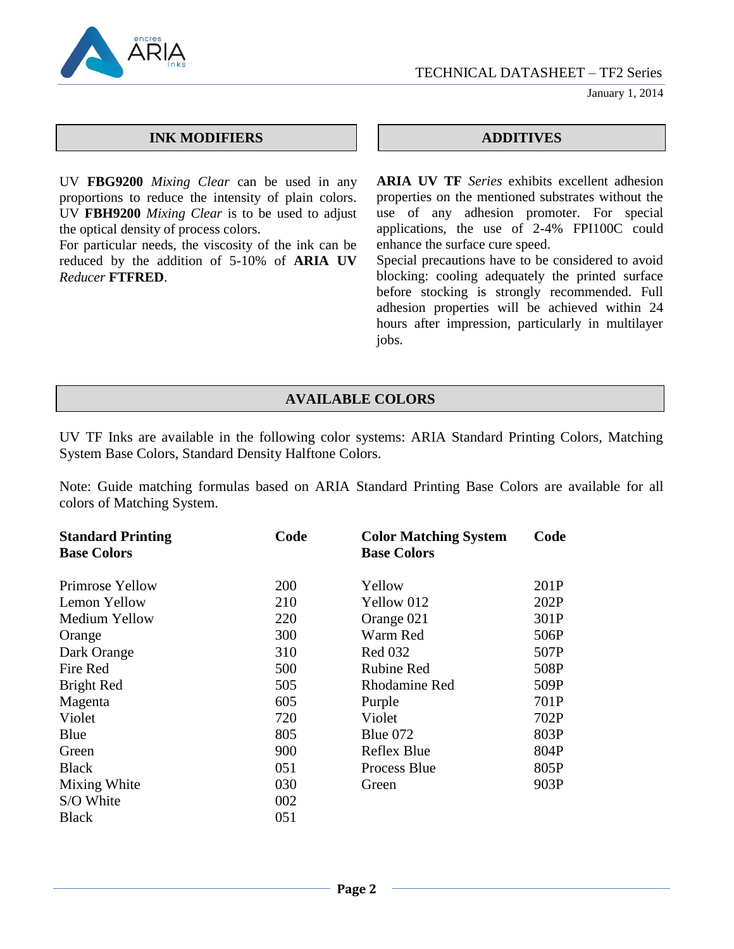TECHNICAL DATASHEET – TF2 Series



January 1, 2014

#### **INK MODIFIERS ADDITIVES**

UV **FBG9200** *Mixing Clear* can be used in any proportions to reduce the intensity of plain colors. UV **FBH9200** *Mixing Clear* is to be used to adjust the optical density of process colors.

For particular needs, the viscosity of the ink can be reduced by the addition of 5-10% of **ARIA UV** *Reducer* **FTFRED**.

**ARIA UV TF** *Series* exhibits excellent adhesion properties on the mentioned substrates without the use of any adhesion promoter. For special applications, the use of 2-4% FPI100C could enhance the surface cure speed.

Special precautions have to be considered to avoid blocking: cooling adequately the printed surface before stocking is strongly recommended. Full adhesion properties will be achieved within 24 hours after impression, particularly in multilayer jobs.

# **AVAILABLE COLORS**

UV TF Inks are available in the following color systems: ARIA Standard Printing Colors, Matching System Base Colors, Standard Density Halftone Colors.

Note: Guide matching formulas based on ARIA Standard Printing Base Colors are available for all colors of Matching System.

| <b>Standard Printing</b><br><b>Base Colors</b> | Code | <b>Color Matching System</b><br><b>Base Colors</b> | Code |
|------------------------------------------------|------|----------------------------------------------------|------|
| Primrose Yellow                                | 200  | Yellow                                             | 201P |
| Lemon Yellow                                   | 210  | Yellow 012                                         | 202P |
| Medium Yellow                                  | 220  | Orange 021                                         | 301P |
| Orange                                         | 300  | Warm Red                                           | 506P |
| Dark Orange                                    | 310  | <b>Red 032</b>                                     | 507P |
| Fire Red                                       | 500  | <b>Rubine Red</b>                                  | 508P |
| Bright Red                                     | 505  | <b>Rhodamine Red</b>                               | 509P |
| Magenta                                        | 605  | Purple                                             | 701P |
| Violet                                         | 720  | Violet                                             | 702P |
| Blue                                           | 805  | Blue $072$                                         | 803P |
| Green                                          | 900  | Reflex Blue                                        | 804P |
| <b>Black</b>                                   | 051  | Process Blue                                       | 805P |
| Mixing White                                   | 030  | Green                                              | 903P |
| S/O White                                      | 002  |                                                    |      |
| <b>Black</b>                                   | 051  |                                                    |      |